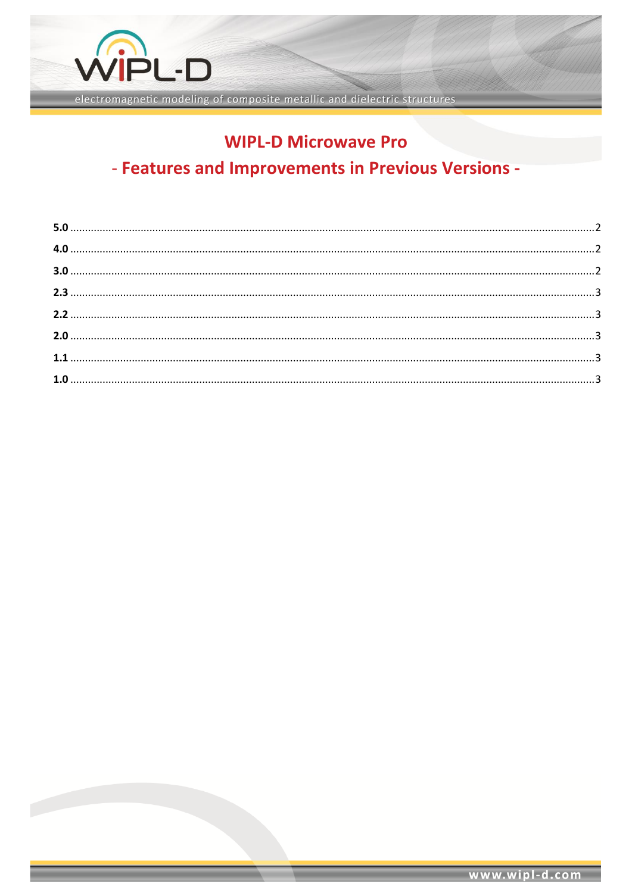

electromagnetic modeling of composite metallic and dielectric structures

## **WIPL-D Microwave Pro**

# - Features and Improvements in Previous Versions -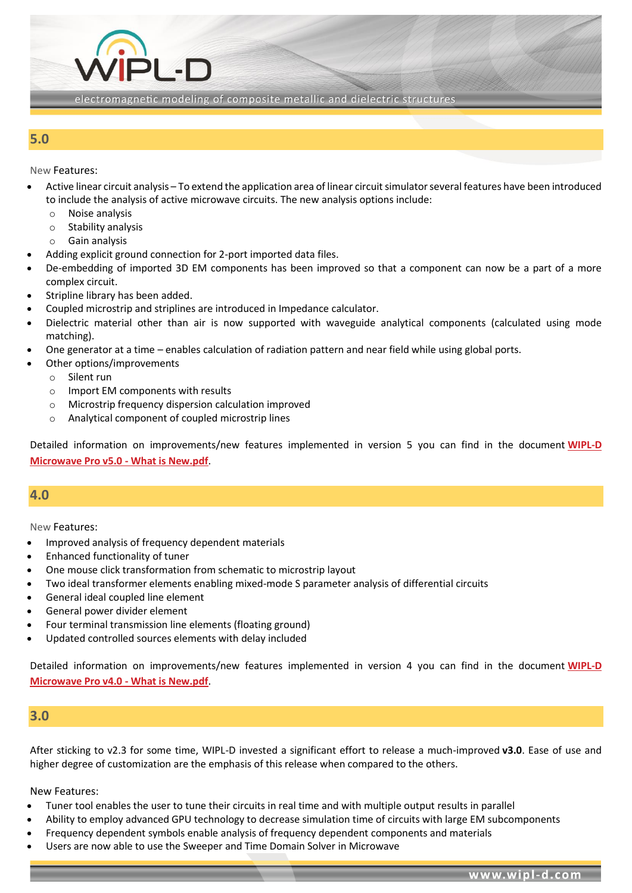

### <span id="page-1-0"></span>**5.0**

New Features:

- Active linear circuit analysis To extend the application area of linear circuit simulator several features have been introduced to include the analysis of active microwave circuits. The new analysis options include:
	- o Noise analysis
	- o Stability analysis
	- o Gain analysis
- Adding explicit ground connection for 2-port imported data files.

21 .N

- De-embedding of imported 3D EM components has been improved so that a component can now be a part of a more complex circuit.
- Stripline library has been added.
- Coupled microstrip and striplines are introduced in Impedance calculator.
- Dielectric material other than air is now supported with waveguide analytical components (calculated using mode matching).
- One generator at a time enables calculation of radiation pattern and near field while using global ports.
- Other options/improvements
	- o Silent run
	- o Import EM components with results
	- o Microstrip frequency dispersion calculation improved
	- o Analytical component of coupled microstrip lines

Detailed information on improvements/new features implemented in version 5 you can find in the document **[WIPL-D](https://wipl-d.com/wp-content/uploads/2018/06/WIPL_D_Microwave_5_What_is_New.pdf)  [Microwave Pro v5.0 -](https://wipl-d.com/wp-content/uploads/2018/06/WIPL_D_Microwave_5_What_is_New.pdf) What is New.pdf**.

#### <span id="page-1-1"></span>**4.0**

New Features:

- Improved analysis of frequency dependent materials
- Enhanced functionality of tuner
- One mouse click transformation from schematic to microstrip layout
- Two ideal transformer elements enabling mixed-mode S parameter analysis of differential circuits
- General ideal coupled line element
- General power divider element
- Four terminal transmission line elements (floating ground)
- Updated controlled sources elements with delay included

Detailed information on improvements/new features implemented in version 4 you can find in the document **[WIPL-D](https://wipl-d.com/wp-content/uploads/2018/11/WIPL_D_Microwave_4_What_is_New.pdf)  [Microwave Pro v4.0 -](https://wipl-d.com/wp-content/uploads/2018/11/WIPL_D_Microwave_4_What_is_New.pdf) What is New.pdf**.

#### <span id="page-1-2"></span>**3.0**

After sticking to v2.3 for some time, WIPL-D invested a significant effort to release a much-improved **v3.0**. Ease of use and higher degree of customization are the emphasis of this release when compared to the others.

#### New Features:

- Tuner tool enables the user to tune their circuits in real time and with multiple output results in parallel
- Ability to employ advanced GPU technology to decrease simulation time of circuits with large EM subcomponents
- Frequency dependent symbols enable analysis of frequency dependent components and materials
- Users are now able to use the Sweeper and Time Domain Solver in Microwave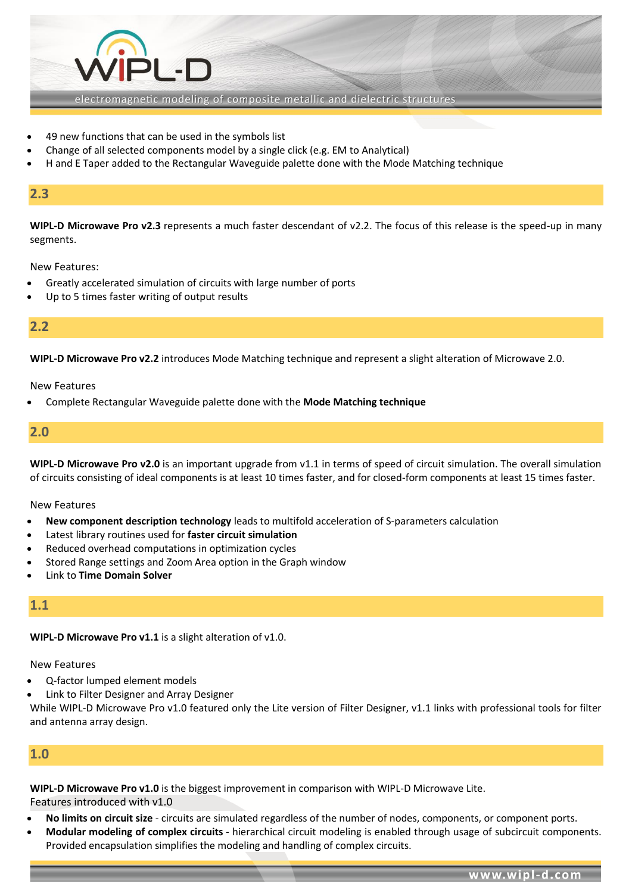

- 49 new functions that can be used in the symbols list
- Change of all selected components model by a single click (e.g. EM to Analytical)
- H and E Taper added to the Rectangular Waveguide palette done with the Mode Matching technique

### <span id="page-2-0"></span>**2.3**

**WIPL-D Microwave Pro v2.3** represents a much faster descendant of v2.2. The focus of this release is the speed-up in many segments.

New Features:

- Greatly accelerated simulation of circuits with large number of ports
- Up to 5 times faster writing of output results

#### <span id="page-2-1"></span>**2.2**

**WIPL-D Microwave Pro v2.2** introduces Mode Matching technique and represent a slight alteration of Microwave 2.0.

New Features

• Complete Rectangular Waveguide palette done with the **Mode Matching technique**

#### <span id="page-2-2"></span>**2.0**

**WIPL-D Microwave Pro v2.0** is an important upgrade from v1.1 in terms of speed of circuit simulation. The overall simulation of circuits consisting of ideal components is at least 10 times faster, and for closed-form components at least 15 times faster.

#### New Features

- **New component description technology** leads to multifold acceleration of S-parameters calculation
- Latest library routines used for **faster circuit simulation**
- Reduced overhead computations in optimization cycles
- Stored Range settings and Zoom Area option in the Graph window
- Link to **Time Domain Solver**

#### <span id="page-2-3"></span>**1.1**

**WIPL-D Microwave Pro v1.1** is a slight alteration of v1.0.

New Features

- Q-factor lumped element models
- Link to Filter Designer and Array Designer

While WIPL-D Microwave Pro v1.0 featured only the Lite version of Filter Designer, v1.1 links with professional tools for filter and antenna array design.

## <span id="page-2-4"></span>**1.0**

**WIPL-D Microwave Pro v1.0** is the biggest improvement in comparison with WIPL-D Microwave Lite. Features introduced with v1.0

- **No limits on circuit size** circuits are simulated regardless of the number of nodes, components, or component ports.
- **Modular modeling of complex circuits** hierarchical circuit modeling is enabled through usage of subcircuit components. Provided encapsulation simplifies the modeling and handling of complex circuits.